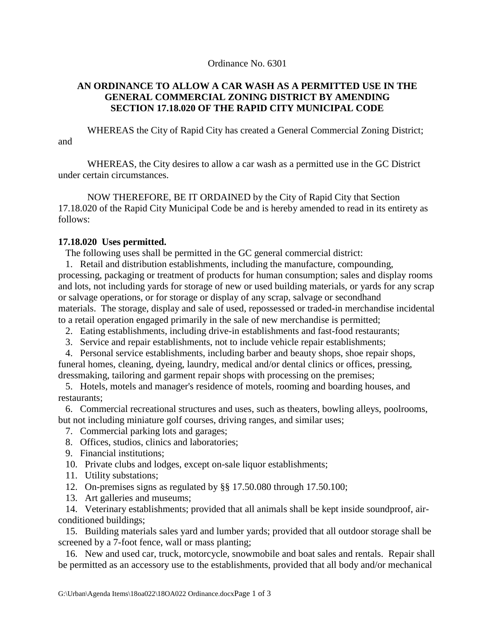## Ordinance No. 6301

## **AN ORDINANCE TO ALLOW A CAR WASH AS A PERMITTED USE IN THE GENERAL COMMERCIAL ZONING DISTRICT BY AMENDING SECTION 17.18.020 OF THE RAPID CITY MUNICIPAL CODE**

WHEREAS the City of Rapid City has created a General Commercial Zoning District; and

WHEREAS, the City desires to allow a car wash as a permitted use in the GC District under certain circumstances.

NOW THEREFORE, BE IT ORDAINED by the City of Rapid City that Section 17.18.020 of the Rapid City Municipal Code be and is hereby amended to read in its entirety as follows:

## **17.18.020 Uses permitted.**

The following uses shall be permitted in the GC general commercial district:

 1. Retail and distribution establishments, including the manufacture, compounding, processing, packaging or treatment of products for human consumption; sales and display rooms and lots, not including yards for storage of new or used building materials, or yards for any scrap or salvage operations, or for storage or display of any scrap, salvage or secondhand materials. The storage, display and sale of used, repossessed or traded-in merchandise incidental to a retail operation engaged primarily in the sale of new merchandise is permitted;

- 2. Eating establishments, including drive-in establishments and fast-food restaurants;
- 3. Service and repair establishments, not to include vehicle repair establishments;
- 4. Personal service establishments, including barber and beauty shops, shoe repair shops, funeral homes, cleaning, dyeing, laundry, medical and/or dental clinics or offices, pressing, dressmaking, tailoring and garment repair shops with processing on the premises;

 5. Hotels, motels and manager's residence of motels, rooming and boarding houses, and restaurants;

 6. Commercial recreational structures and uses, such as theaters, bowling alleys, poolrooms, but not including miniature golf courses, driving ranges, and similar uses;

- 7. Commercial parking lots and garages;
- 8. Offices, studios, clinics and laboratories;
- 9. Financial institutions;
- 10. Private clubs and lodges, except on-sale liquor establishments;
- 11. Utility substations;
- 12. On-premises signs as regulated by §§ 17.50.080 through 17.50.100;
- 13. Art galleries and museums;

 14. Veterinary establishments; provided that all animals shall be kept inside soundproof, airconditioned buildings;

 15. Building materials sales yard and lumber yards; provided that all outdoor storage shall be screened by a 7-foot fence, wall or mass planting;

 16. New and used car, truck, motorcycle, snowmobile and boat sales and rentals. Repair shall be permitted as an accessory use to the establishments, provided that all body and/or mechanical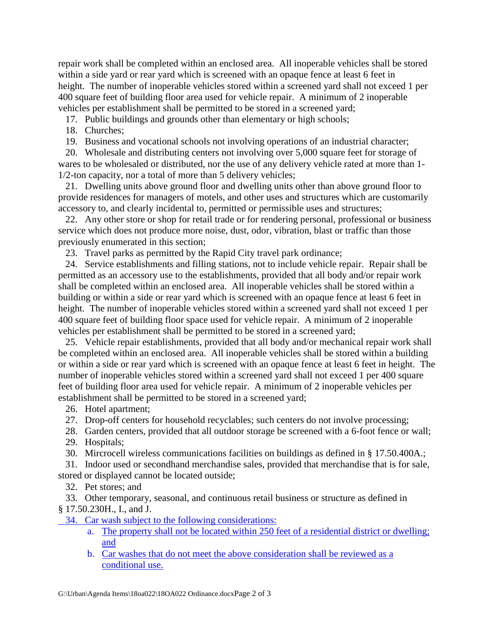repair work shall be completed within an enclosed area. All inoperable vehicles shall be stored within a side yard or rear yard which is screened with an opaque fence at least 6 feet in height. The number of inoperable vehicles stored within a screened yard shall not exceed 1 per 400 square feet of building floor area used for vehicle repair. A minimum of 2 inoperable vehicles per establishment shall be permitted to be stored in a screened yard;

17. Public buildings and grounds other than elementary or high schools;

18. Churches;

19. Business and vocational schools not involving operations of an industrial character;

 20. Wholesale and distributing centers not involving over 5,000 square feet for storage of wares to be wholesaled or distributed, nor the use of any delivery vehicle rated at more than 1- 1/2-ton capacity, nor a total of more than 5 delivery vehicles;

 21. Dwelling units above ground floor and dwelling units other than above ground floor to provide residences for managers of motels, and other uses and structures which are customarily accessory to, and clearly incidental to, permitted or permissible uses and structures;

 22. Any other store or shop for retail trade or for rendering personal, professional or business service which does not produce more noise, dust, odor, vibration, blast or traffic than those previously enumerated in this section;

23. Travel parks as permitted by the Rapid City travel park ordinance;

 24. Service establishments and filling stations, not to include vehicle repair. Repair shall be permitted as an accessory use to the establishments, provided that all body and/or repair work shall be completed within an enclosed area. All inoperable vehicles shall be stored within a building or within a side or rear yard which is screened with an opaque fence at least 6 feet in height. The number of inoperable vehicles stored within a screened yard shall not exceed 1 per 400 square feet of building floor space used for vehicle repair. A minimum of 2 inoperable vehicles per establishment shall be permitted to be stored in a screened yard;

 25. Vehicle repair establishments, provided that all body and/or mechanical repair work shall be completed within an enclosed area. All inoperable vehicles shall be stored within a building or within a side or rear yard which is screened with an opaque fence at least 6 feet in height. The number of inoperable vehicles stored within a screened yard shall not exceed 1 per 400 square feet of building floor area used for vehicle repair. A minimum of 2 inoperable vehicles per establishment shall be permitted to be stored in a screened yard;

26. Hotel apartment;

27. Drop-off centers for household recyclables; such centers do not involve processing;

28. Garden centers, provided that all outdoor storage be screened with a 6-foot fence or wall;

29. Hospitals;

30. Mircrocell wireless communications facilities on buildings as defined in § 17.50.400A.;

 31. Indoor used or secondhand merchandise sales, provided that merchandise that is for sale, stored or displayed cannot be located outside;

32. Pet stores; and

33. Other temporary, seasonal, and continuous retail business or structure as defined in

§ 17.50.230H., I., and J.

34. Car wash subject to the following considerations:

- a. The property shall not be located within 250 feet of a residential district or dwelling; and
- b. Car washes that do not meet the above consideration shall be reviewed as a conditional use.